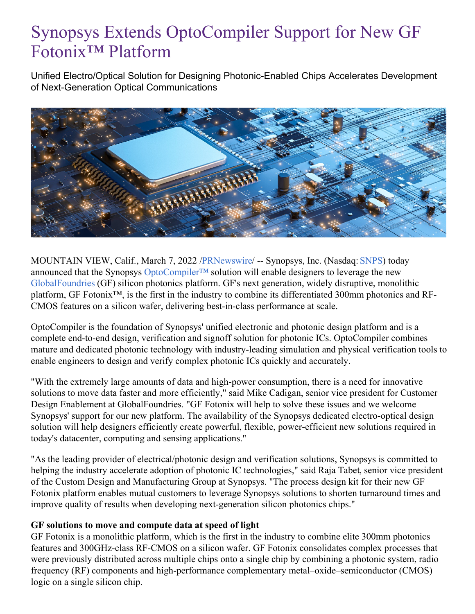## Synopsys Extends OptoCompiler Support for New GF Fotonix™ Platform

Unified Electro/Optical Solution for Designing Photonic-Enabled Chips Accelerates Development of Next-Generation Optical Communications



MOUNTAIN VIEW, Calif., March 7, 2022 [/PRNewswire](http://www.prnewswire.com/)/ -- Synopsys, Inc. (Nasdaq: [SNPS](https://c212.net/c/link/?t=0&l=en&o=3463745-1&h=1369328154&u=https%3A%2F%2Fwww.synopsys.com%2F&a=SNPS)) today announced that the Synopsys [OptoCompiler™](https://c212.net/c/link/?t=0&l=en&o=3463745-1&h=3474924925&u=https%3A%2F%2Fwww.synopsys.com%2Fphotonic-solutions%2Foptocompiler.html&a=OptoCompiler%E2%84%A2) solution will enable designers to leverage the new [GlobalFoundries](https://c212.net/c/link/?t=0&l=en&o=3463745-1&h=2332535384&u=https%3A%2F%2Fgf.com%2F&a=GlobalFoundries) (GF) silicon photonics platform. GF's next generation, widely disruptive, monolithic platform, GF Fotonix™, is the first in the industry to combine its differentiated 300mm photonics and RF-CMOS features on a silicon wafer, delivering best-in-class performance at scale.

OptoCompiler is the foundation of Synopsys' unified electronic and photonic design platform and is a complete end-to-end design, verification and signoff solution for photonic ICs. OptoCompiler combines mature and dedicated photonic technology with industry-leading simulation and physical verification tools to enable engineers to design and verify complex photonic ICs quickly and accurately.

"With the extremely large amounts of data and high-power consumption, there is a need for innovative solutions to move data faster and more efficiently," said Mike Cadigan, senior vice president for Customer Design Enablement at GlobalFoundries. "GF Fotonix will help to solve these issues and we welcome Synopsys' support for our new platform. The availability of the Synopsys dedicated electro-optical design solution will help designers efficiently create powerful, flexible, power-efficient new solutions required in today's datacenter, computing and sensing applications."

"As the leading provider of electrical/photonic design and verification solutions, Synopsys is committed to helping the industry accelerate adoption of photonic IC technologies," said Raja Tabet, senior vice president of the Custom Design and Manufacturing Group at Synopsys. "The process design kit for their new GF Fotonix platform enables mutual customers to leverage Synopsys solutions to shorten turnaround times and improve quality of results when developing next-generation silicon photonics chips."

## **GF solutions to move and compute data at speed of light**

GF Fotonix is a monolithic platform, which is the first in the industry to combine elite 300mm photonics features and 300GHz-class RF-CMOS on a silicon wafer. GF Fotonix consolidates complex processes that were previously distributed across multiple chips onto a single chip by combining a photonic system, radio frequency (RF) components and high-performance complementary metal–oxide–semiconductor (CMOS) logic on a single silicon chip.